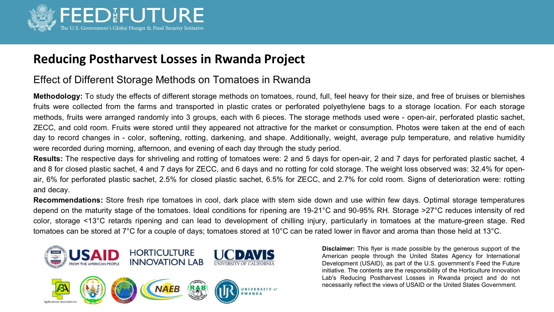

## **Reducing Postharvest Losses in Rwanda Project**

## Effect of Different Storage Methods on Tomatoes in Rwanda

**Methodology:** To study the effects of different storage methods on tomatoes, round, full, feel heavy for their size, and free of bruises or blemishes fruits were collected from the farms and transported in plastic crates or perforated polyethylene bags to a storage location. For each storage methods, fruits were arranged randomly into 3 groups, each with 6 pieces. The storage methods used were - open-air, perforated plastic sachet, ZECC, and cold room. Fruits were stored until they appeared not attractive for the market or consumption. Photos were taken at the end of each day to record changes in - color, softening, rotting, darkening, and shape. Additionally, weight, average pulp temperature, and relative humidity were recorded during morning, afternoon, and evening of each day through the study period.

**Results:** The respective days for shriveling and rotting of tomatoes were: 2 and 5 days for open-air, 2 and 7 days for perforated plastic sachet, 4 and 8 for closed plastic sachet, 4 and 7 days for ZECC, and 6 days and no rotting for cold storage. The weight loss observed was: 32.4% for openair, 6% for perforated plastic sachet, 2.5% for closed plastic sachet, 6.5% for ZECC, and 2.7% for cold room. Signs of deterioration were: rotting and decay.

**Recommendations:** Store fresh ripe tomatoes in cool, dark place with stem side down and use within few days. Optimal storage temperatures depend on the maturity stage of the tomatoes. Ideal conditions for ripening are 19-21°C and 90-95% RH. Storage >27°C reduces intensity of red color, storage <13°C retards ripening and can lead to development of chilling injury, particularly in tomatoes at the mature-green stage. Red tomatoes can be stored at 7°C for a couple of days; tomatoes stored at 10°C can be rated lower in flavor and aroma than those held at 13°C.



**Disclaimer:** This flyer is made possible by the generous support of the American people through the United States Agency for International Development (USAID), as part of the U.S. government's Feed the Future initiative. The contents are the responsibility of the Horticulture Innovation Lab's Reducing Postharvest Losses in Rwanda project and do not necessarily reflect the views of USAID or the United States Government.